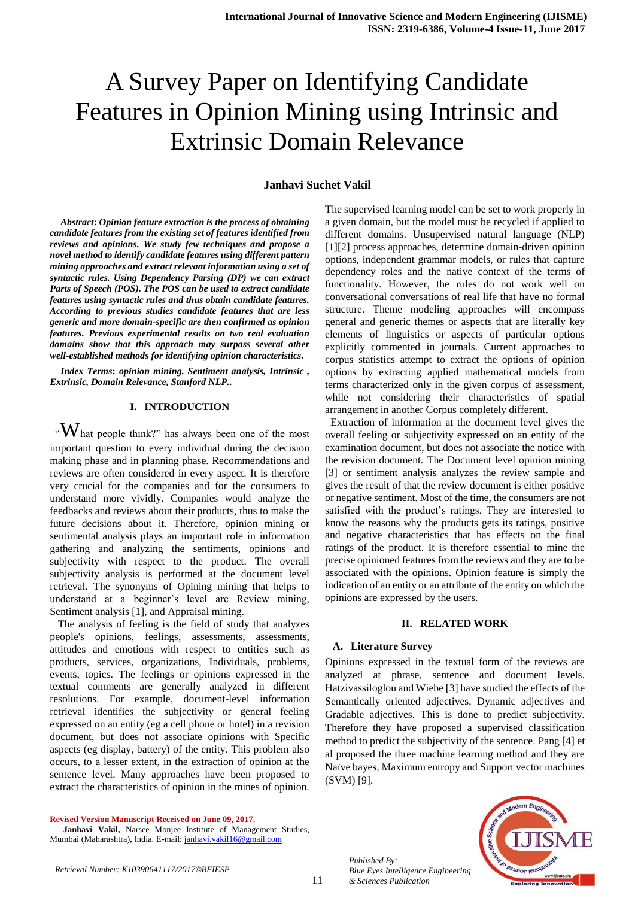# A Survey Paper on Identifying Candidate Features in Opinion Mining using Intrinsic and Extrinsic Domain Relevance

### **Janhavi Suchet Vakil**

*Abstract***:** *Opinion feature extraction is the process of obtaining candidate features from the existing set of features identified from reviews and opinions. We study few techniques and propose a novel method to identify candidate features using different pattern mining approaches and extract relevant information using a set of syntactic rules. Using Dependency Parsing (DP) we can extract Parts of Speech (POS). The POS can be used to extract candidate features using syntactic rules and thus obtain candidate features. According to previous studies candidate features that are less generic and more domain-specific are then confirmed as opinion features. Previous experimental results on two real evaluation domains show that this approach may surpass several other well-established methods for identifying opinion characteristics.*

*Index Terms***:** *opinion mining. Sentiment analysis, Intrinsic , Extrinsic, Domain Relevance, Stanford NLP..* 

# **I. INTRODUCTION**

 $\lq\lq W$  hat people think?" has always been one of the most important question to every individual during the decision making phase and in planning phase. Recommendations and reviews are often considered in every aspect. It is therefore very crucial for the companies and for the consumers to understand more vividly. Companies would analyze the feedbacks and reviews about their products, thus to make the future decisions about it. Therefore, opinion mining or sentimental analysis plays an important role in information gathering and analyzing the sentiments, opinions and subjectivity with respect to the product. The overall subjectivity analysis is performed at the document level retrieval. The synonyms of Opining mining that helps to understand at a beginner's level are Review mining, Sentiment analysis [1], and Appraisal mining.

 The analysis of feeling is the field of study that analyzes people's opinions, feelings, assessments, assessments, attitudes and emotions with respect to entities such as products, services, organizations, Individuals, problems, events, topics. The feelings or opinions expressed in the textual comments are generally analyzed in different resolutions. For example, document-level information retrieval identifies the subjectivity or general feeling expressed on an entity (eg a cell phone or hotel) in a revision document, but does not associate opinions with Specific aspects (eg display, battery) of the entity. This problem also occurs, to a lesser extent, in the extraction of opinion at the sentence level. Many approaches have been proposed to extract the characteristics of opinion in the mines of opinion.

**Revised Version Manuscript Received on June 09, 2017.**

 **Janhavi Vakil,** Narsee Monjee Institute of Management Studies, Mumbai (Maharashtra), India. E-mail[: janhavi.vakil16@gmail.com](mailto:janhavi.vakil16@gmail.com)

The supervised learning model can be set to work properly in a given domain, but the model must be recycled if applied to different domains. Unsupervised natural language (NLP) [1][2] process approaches, determine domain-driven opinion options, independent grammar models, or rules that capture dependency roles and the native context of the terms of functionality. However, the rules do not work well on conversational conversations of real life that have no formal structure. Theme modeling approaches will encompass general and generic themes or aspects that are literally key elements of linguistics or aspects of particular options explicitly commented in journals. Current approaches to corpus statistics attempt to extract the options of opinion options by extracting applied mathematical models from terms characterized only in the given corpus of assessment, while not considering their characteristics of spatial arrangement in another Corpus completely different.

 Extraction of information at the document level gives the overall feeling or subjectivity expressed on an entity of the examination document, but does not associate the notice with the revision document. The Document level opinion mining [3] or sentiment analysis analyzes the review sample and gives the result of that the review document is either positive or negative sentiment. Most of the time, the consumers are not satisfied with the product's ratings. They are interested to know the reasons why the products gets its ratings, positive and negative characteristics that has effects on the final ratings of the product. It is therefore essential to mine the precise opinioned features from the reviews and they are to be associated with the opinions. Opinion feature is simply the indication of an entity or an attribute of the entity on which the opinions are expressed by the users.

#### **II. RELATED WORK**

# **A. Literature Survey**

Opinions expressed in the textual form of the reviews are analyzed at phrase, sentence and document levels. Hatzivassiloglou and Wiebe [3] have studied the effects of the Semantically oriented adjectives, Dynamic adjectives and Gradable adjectives. This is done to predict subjectivity. Therefore they have proposed a supervised classification method to predict the subjectivity of the sentence. Pang [4] et al proposed the three machine learning method and they are Naïve bayes, Maximum entropy and Support vector machines (SVM) [9].



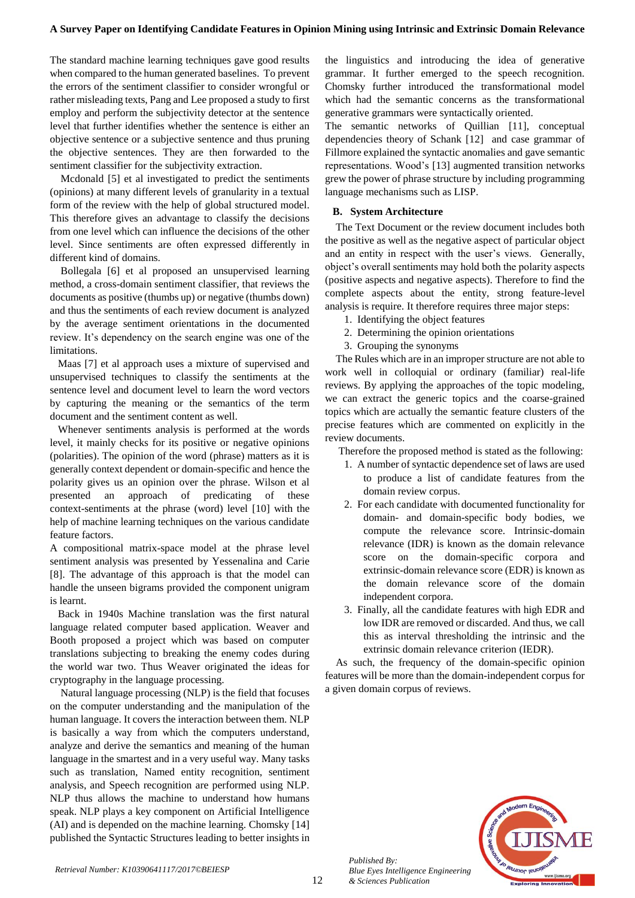The standard machine learning techniques gave good results when compared to the human generated baselines. To prevent the errors of the sentiment classifier to consider wrongful or rather misleading texts, Pang and Lee proposed a study to first employ and perform the subjectivity detector at the sentence level that further identifies whether the sentence is either an objective sentence or a subjective sentence and thus pruning the objective sentences. They are then forwarded to the sentiment classifier for the subjectivity extraction.

 Mcdonald [5] et al investigated to predict the sentiments (opinions) at many different levels of granularity in a textual form of the review with the help of global structured model. This therefore gives an advantage to classify the decisions from one level which can influence the decisions of the other level. Since sentiments are often expressed differently in different kind of domains.

 Bollegala [6] et al proposed an unsupervised learning method, a cross-domain sentiment classifier, that reviews the documents as positive (thumbs up) or negative (thumbs down) and thus the sentiments of each review document is analyzed by the average sentiment orientations in the documented review. It's dependency on the search engine was one of the limitations.

 Maas [7] et al approach uses a mixture of supervised and unsupervised techniques to classify the sentiments at the sentence level and document level to learn the word vectors by capturing the meaning or the semantics of the term document and the sentiment content as well.

 Whenever sentiments analysis is performed at the words level, it mainly checks for its positive or negative opinions (polarities). The opinion of the word (phrase) matters as it is generally context dependent or domain-specific and hence the polarity gives us an opinion over the phrase. Wilson et al presented an approach of predicating of these context-sentiments at the phrase (word) level [10] with the help of machine learning techniques on the various candidate feature factors.

A compositional matrix-space model at the phrase level sentiment analysis was presented by Yessenalina and Carie [8]. The advantage of this approach is that the model can handle the unseen bigrams provided the component unigram is learnt.

 Back in 1940s Machine translation was the first natural language related computer based application. Weaver and Booth proposed a project which was based on computer translations subjecting to breaking the enemy codes during the world war two. Thus Weaver originated the ideas for cryptography in the language processing.

 Natural language processing (NLP) is the field that focuses on the computer understanding and the manipulation of the human language. It covers the interaction between them. NLP is basically a way from which the computers understand, analyze and derive the semantics and meaning of the human language in the smartest and in a very useful way. Many tasks such as translation, Named entity recognition, sentiment analysis, and Speech recognition are performed using NLP. NLP thus allows the machine to understand how humans speak. NLP plays a key component on Artificial Intelligence (AI) and is depended on the machine learning. Chomsky [14] published the Syntactic Structures leading to better insights in

the linguistics and introducing the idea of generative grammar. It further emerged to the speech recognition. Chomsky further introduced the transformational model which had the semantic concerns as the transformational generative grammars were syntactically oriented.

The semantic networks of Quillian [11], conceptual dependencies theory of Schank [12] and case grammar of Fillmore explained the syntactic anomalies and gave semantic representations. Wood's [13] augmented transition networks grew the power of phrase structure by including programming language mechanisms such as LISP.

# **B. System Architecture**

The Text Document or the review document includes both the positive as well as the negative aspect of particular object and an entity in respect with the user's views. Generally, object's overall sentiments may hold both the polarity aspects (positive aspects and negative aspects). Therefore to find the complete aspects about the entity, strong feature-level analysis is require. It therefore requires three major steps:

- 1. Identifying the object features
- 2. Determining the opinion orientations
- 3. Grouping the synonyms

The Rules which are in an improper structure are not able to work well in colloquial or ordinary (familiar) real-life reviews. By applying the approaches of the topic modeling, we can extract the generic topics and the coarse-grained topics which are actually the semantic feature clusters of the precise features which are commented on explicitly in the review documents.

Therefore the proposed method is stated as the following:

- 1. A number of syntactic dependence set of laws are used to produce a list of candidate features from the domain review corpus.
- 2. For each candidate with documented functionality for domain- and domain-specific body bodies, we compute the relevance score. Intrinsic-domain relevance (IDR) is known as the domain relevance score on the domain-specific corpora and extrinsic-domain relevance score (EDR) is known as the domain relevance score of the domain independent corpora.
- 3. Finally, all the candidate features with high EDR and low IDR are removed or discarded. And thus, we call this as interval thresholding the intrinsic and the extrinsic domain relevance criterion (IEDR).

As such, the frequency of the domain-specific opinion features will be more than the domain-independent corpus for a given domain corpus of reviews.



*Published By: Blue Eyes Intelligence Engineering & Sciences Publication*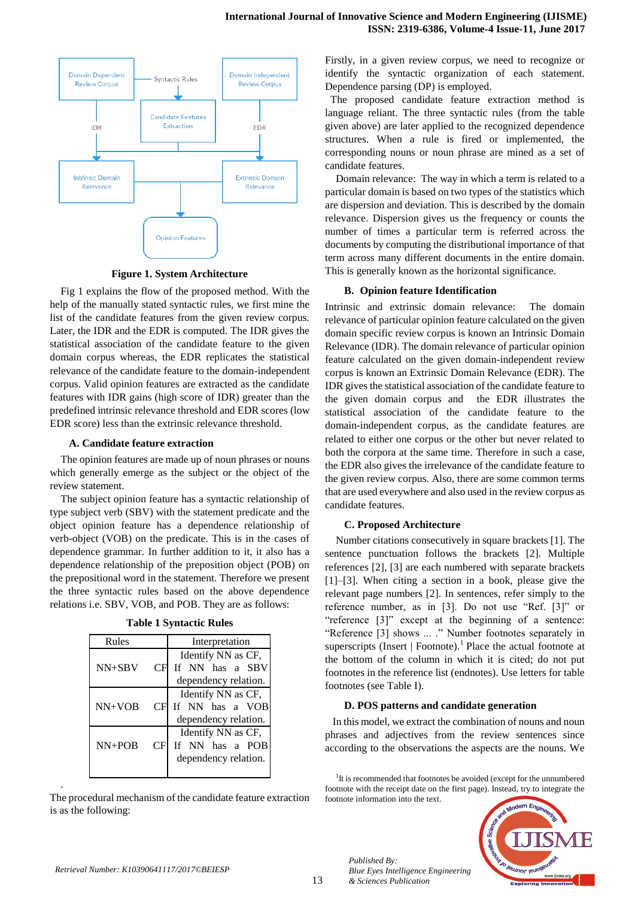

**Figure 1. System Architecture**

Fig 1 explains the flow of the proposed method. With the help of the manually stated syntactic rules, we first mine the list of the candidate features from the given review corpus. Later, the IDR and the EDR is computed. The IDR gives the statistical association of the candidate feature to the given domain corpus whereas, the EDR replicates the statistical relevance of the candidate feature to the domain-independent corpus. Valid opinion features are extracted as the candidate features with IDR gains (high score of IDR) greater than the predefined intrinsic relevance threshold and EDR scores (low EDR score) less than the extrinsic relevance threshold.

### **A. Candidate feature extraction**

The opinion features are made up of noun phrases or nouns which generally emerge as the subject or the object of the review statement.

The subject opinion feature has a syntactic relationship of type subject verb (SBV) with the statement predicate and the object opinion feature has a dependence relationship of verb-object (VOB) on the predicate. This is in the cases of dependence grammar. In further addition to it, it also has a dependence relationship of the preposition object (POB) on the prepositional word in the statement. Therefore we present the three syntactic rules based on the above dependence relations i.e. SBV, VOB, and POB. They are as follows:

|                  | Interpretation                                                |  |
|------------------|---------------------------------------------------------------|--|
|                  | Identify NN as CF,<br>If NN has a SBV                         |  |
|                  | dependency relation.                                          |  |
| CFI              | Identify NN as CF,<br>If NN has a VOB<br>dependency relation. |  |
| $\overline{C}$ F | Identify NN as CF,<br>If NN has a POB<br>dependency relation. |  |
|                  | СF                                                            |  |

The procedural mechanism of the candidate feature extraction is as the following:

Firstly, in a given review corpus, we need to recognize or identify the syntactic organization of each statement. Dependence parsing (DP) is employed.

 The proposed candidate feature extraction method is language reliant. The three syntactic rules (from the table given above) are later applied to the recognized dependence structures. When a rule is fired or implemented, the corresponding nouns or noun phrase are mined as a set of candidate features.

 Domain relevance: The way in which a term is related to a particular domain is based on two types of the statistics which are dispersion and deviation. This is described by the domain relevance. Dispersion gives us the frequency or counts the number of times a particular term is referred across the documents by computing the distributional importance of that term across many different documents in the entire domain. This is generally known as the horizontal significance.

## **B. Opinion feature Identification**

Intrinsic and extrinsic domain relevance: The domain relevance of particular opinion feature calculated on the given domain specific review corpus is known an Intrinsic Domain Relevance (IDR). The domain relevance of particular opinion feature calculated on the given domain-independent review corpus is known an Extrinsic Domain Relevance (EDR). The IDR gives the statistical association of the candidate feature to the given domain corpus and the EDR illustrates the statistical association of the candidate feature to the domain-independent corpus, as the candidate features are related to either one corpus or the other but never related to both the corpora at the same time. Therefore in such a case, the EDR also gives the irrelevance of the candidate feature to the given review corpus. Also, there are some common terms that are used everywhere and also used in the review corpus as candidate features.

#### **C. Proposed Architecture**

Number citations consecutively in square brackets [1]. The sentence punctuation follows the brackets [2]. Multiple references [2], [3] are each numbered with separate brackets [1]–[3]. When citing a section in a book, please give the relevant page numbers [2]. In sentences, refer simply to the reference number, as in [3]. Do not use "Ref. [3]" or "reference [3]" except at the beginning of a sentence: "Reference [3] shows ... ." Number footnotes separately in superscripts (Insert  $\vert$  Footnote).<sup>1</sup> Place the actual footnote at the bottom of the column in which it is cited; do not put footnotes in the reference list (endnotes). Use letters for table footnotes (see Table I).

#### **D. POS patterns and candidate generation**

In this model, we extract the combination of nouns and noun phrases and adjectives from the review sentences since according to the observations the aspects are the nouns. We

<sup>1</sup>It is recommended that footnotes be avoided (except for the unnumbered footnote with the receipt date on the first page). Instead, try to integrate the footnote information into the text.



.

*Published By:*

*& Sciences Publication* 

*Blue Eyes Intelligence Engineering*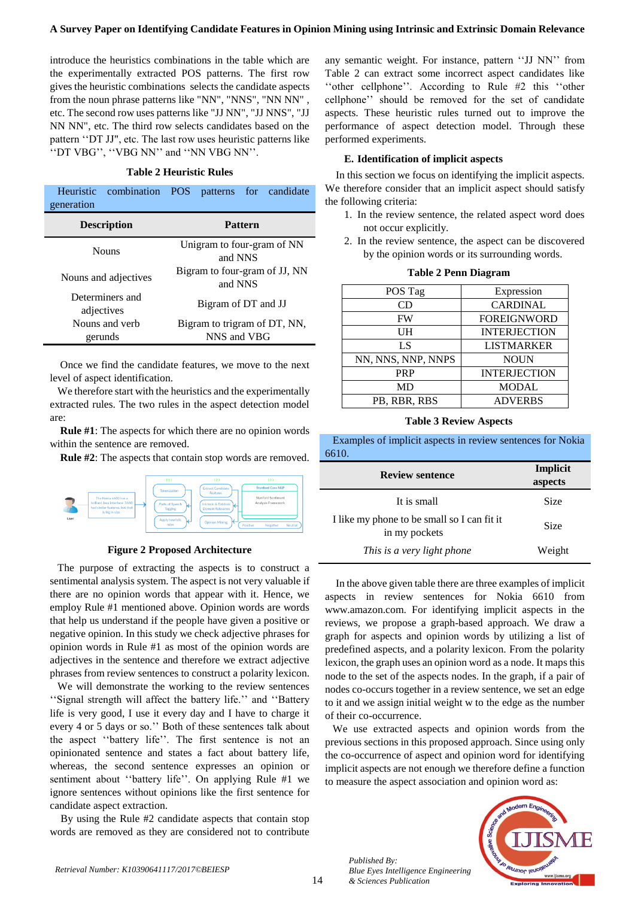#### **A Survey Paper on Identifying Candidate Features in Opinion Mining using Intrinsic and Extrinsic Domain Relevance**

introduce the heuristics combinations in the table which are the experimentally extracted POS patterns. The first row gives the heuristic combinations selects the candidate aspects from the noun phrase patterns like "NN", "NNS", "NN NN" , etc. The second row uses patterns like "JJ NN", "JJ NNS", "JJ NN NN", etc. The third row selects candidates based on the pattern ''DT JJ", etc. The last row uses heuristic patterns like ''DT VBG'', ''VBG NN'' and ''NN VBG NN''.

#### **Table 2 Heuristic Rules**

| generation                    | Heuristic combination POS patterns for candidate |  |  |
|-------------------------------|--------------------------------------------------|--|--|
| <b>Description</b>            | <b>Pattern</b>                                   |  |  |
| <b>Nouns</b>                  | Unigram to four-gram of NN<br>and NNS            |  |  |
| Nouns and adjectives          | Bigram to four-gram of JJ, NN<br>and NNS         |  |  |
| Determiners and<br>adjectives | Bigram of DT and JJ                              |  |  |
| Nouns and verb<br>gerunds     | Bigram to trigram of DT, NN,<br>NNS and VBG      |  |  |

Once we find the candidate features, we move to the next level of aspect identification.

We therefore start with the heuristics and the experimentally extracted rules. The two rules in the aspect detection model are:

**Rule #1**: The aspects for which there are no opinion words within the sentence are removed.

**Rule #2**: The aspects that contain stop words are removed.



#### **Figure 2 Proposed Architecture**

The purpose of extracting the aspects is to construct a sentimental analysis system. The aspect is not very valuable if there are no opinion words that appear with it. Hence, we employ Rule #1 mentioned above. Opinion words are words that help us understand if the people have given a positive or negative opinion. In this study we check adjective phrases for opinion words in Rule #1 as most of the opinion words are adjectives in the sentence and therefore we extract adjective phrases from review sentences to construct a polarity lexicon.

We will demonstrate the working to the review sentences ''Signal strength will affect the battery life.'' and ''Battery life is very good, I use it every day and I have to charge it every 4 or 5 days or so.'' Both of these sentences talk about the aspect ''battery life''. The first sentence is not an opinionated sentence and states a fact about battery life, whereas, the second sentence expresses an opinion or sentiment about ''battery life''. On applying Rule #1 we ignore sentences without opinions like the first sentence for candidate aspect extraction.

By using the Rule #2 candidate aspects that contain stop words are removed as they are considered not to contribute any semantic weight. For instance, pattern ''JJ NN'' from Table 2 can extract some incorrect aspect candidates like ''other cellphone''. According to Rule #2 this ''other cellphone'' should be removed for the set of candidate aspects. These heuristic rules turned out to improve the performance of aspect detection model. Through these performed experiments.

#### **E. Identification of implicit aspects**

In this section we focus on identifying the implicit aspects. We therefore consider that an implicit aspect should satisfy the following criteria:

- 1. In the review sentence, the related aspect word does not occur explicitly.
- 2. In the review sentence, the aspect can be discovered by the opinion words or its surrounding words.

| POS Tag            | Expression          |
|--------------------|---------------------|
| CD                 | <b>CARDINAL</b>     |
| FW                 | <b>FOREIGNWORD</b>  |
| UH                 | <b>INTERJECTION</b> |
| LS                 | <b>LISTMARKER</b>   |
| NN, NNS, NNP, NNPS | <b>NOUN</b>         |
| <b>PRP</b>         | <b>INTERJECTION</b> |
| MD                 | <b>MODAL</b>        |
| PB, RBR, RBS       | <b>ADVERBS</b>      |

#### **Table 2 Penn Diagram**

#### **Table 3 Review Aspects**

Examples of implicit aspects in review sentences for Nokia 6610.

| <b>Review sentence</b>                                       | Implicit<br>aspects |
|--------------------------------------------------------------|---------------------|
| It is small                                                  | <b>Size</b>         |
| I like my phone to be small so I can fit it<br>in my pockets | <b>Size</b>         |
| This is a very light phone                                   | Weight              |

In the above given table there are three examples of implicit aspects in review sentences for Nokia 6610 from www.amazon.com. For identifying implicit aspects in the reviews, we propose a graph-based approach. We draw a graph for aspects and opinion words by utilizing a list of predefined aspects, and a polarity lexicon. From the polarity lexicon, the graph uses an opinion word as a node. It maps this node to the set of the aspects nodes. In the graph, if a pair of nodes co-occurs together in a review sentence, we set an edge to it and we assign initial weight w to the edge as the number of their co-occurrence.

We use extracted aspects and opinion words from the previous sections in this proposed approach. Since using only the co-occurrence of aspect and opinion word for identifying implicit aspects are not enough we therefore define a function to measure the aspect association and opinion word as: